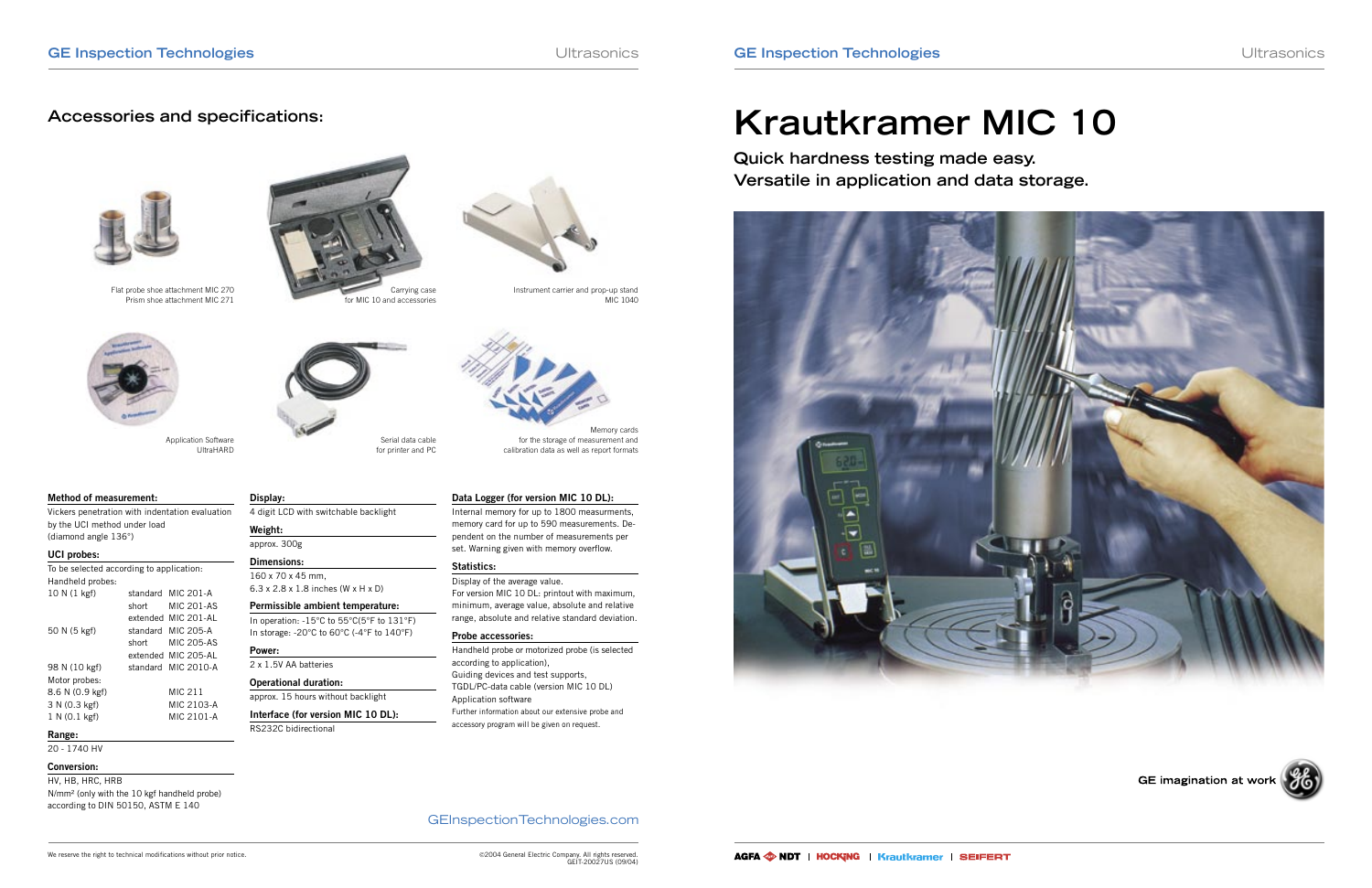### GEInspectionTechnologies.com

# **Krautkramer MIC 10**

**Quick hardness testing made easy. Versatile in application and data storage.**



GE imagination at work





Carrying case for MIC 10 and accessories



Application Software UltraHARD



Serial data cable



for printer and PC

Memory cards for the storage of measurement and calibration data as well as report formats



Flat probe shoe attachment MIC 270 Prism shoe attachment MIC 271

Instrument carrier and prop-up stand

MIC 1040

#### **Method of measurement:**

Vickers penetration with indentation evaluation by the UCI method under load (diamond angle 136°)

#### **UCI probes:**

| To be selected according to application: |          |                     |
|------------------------------------------|----------|---------------------|
| Handheld probes:                         |          |                     |
| 10 N (1 kgf)                             |          | standard MIC 201-A  |
|                                          | short    | MIC 201-AS          |
|                                          | extended | MIC 201-AI          |
| 50 N (5 kgf)                             | standard | MIC 205-A           |
|                                          | short    | <b>MIC 205-AS</b>   |
|                                          |          | extended MIC 205-AL |
| 98 N (10 kgf)                            | standard | MIC 2010-A          |
| Motor probes:                            |          |                     |
| 8.6 N (0.9 kgf)                          |          | MIC 211             |
| 3 N (0.3 kgf)                            |          | MIC 2103-A          |
| 1 N (0.1 kgf)                            |          | MIC 2101-A          |

#### **Range:**

20 - 1740 HV

#### **Conversion:**

HV, HB, HRC, HRB N/mm² (only with the 10 kgf handheld probe) according to DIN 50150, ASTM E 140

**Display:**

4 digit LCD with switchable backlight

**Weight:** approx. 300g **Dimensions:** 160 x 70 x 45 mm,

6.3 x 2.8 x 1.8 inches (W x H x D) **Permissible ambient temperature:** In operation: -15°C to 55°C(5°F to 131°F) In storage: -20°C to 60°C (-4°F to 140°F)

**Power:**

2 x 1.5V AA batteries **Operational duration:**

approx. 15 hours without backlight **Interface (for version MIC 10 DL):**

RS232C bidirectional

#### **Data Logger (for version MIC 10 DL):**

Internal memory for up to 1800 measurments, memory card for up to 590 measurements. Dependent on the number of measurements per set. Warning given with memory overflow.

#### **Statistics:**

Display of the average value. For version MIC 10 DL: printout with maximum, minimum, average value, absolute and relative range, absolute and relative standard deviation.

#### **Probe accessories:**

Handheld probe or motorized probe (is selected according to application), Guiding devices and test supports, TGDL/PC-data cable (version MIC 10 DL) Application software Further information about our extensive probe and accessory program will be given on request.

## **Accessories and specifications:**